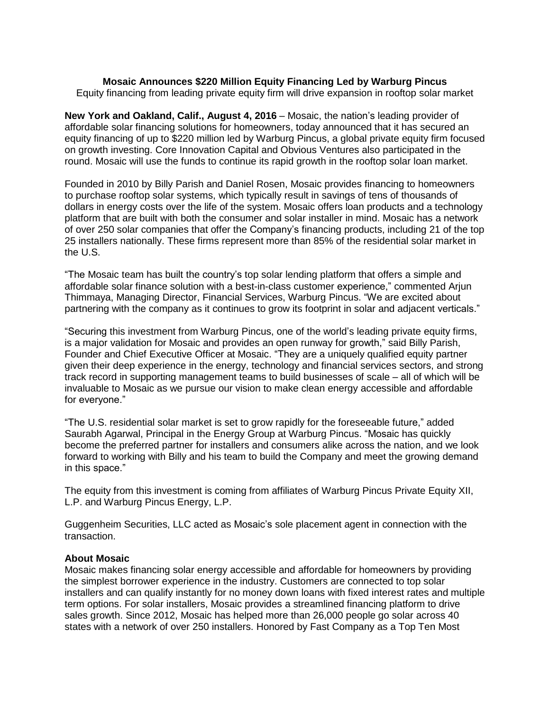### **Mosaic Announces \$220 Million Equity Financing Led by Warburg Pincus** Equity financing from leading private equity firm will drive expansion in rooftop solar market

**New York and Oakland, Calif., August 4, 2016** – Mosaic, the nation's leading provider of affordable solar financing solutions for homeowners, today announced that it has secured an equity financing of up to \$220 million led by Warburg Pincus, a global private equity firm focused on growth investing. Core Innovation Capital and Obvious Ventures also participated in the round. Mosaic will use the funds to continue its rapid growth in the rooftop solar loan market.

Founded in 2010 by Billy Parish and Daniel Rosen, Mosaic provides financing to homeowners to purchase rooftop solar systems, which typically result in savings of tens of thousands of dollars in energy costs over the life of the system. Mosaic offers loan products and a technology platform that are built with both the consumer and solar installer in mind. Mosaic has a network of over 250 solar companies that offer the Company's financing products, including 21 of the top 25 installers nationally. These firms represent more than 85% of the residential solar market in the U.S.

"The Mosaic team has built the country's top solar lending platform that offers a simple and affordable solar finance solution with a best-in-class customer experience," commented Arjun Thimmaya, Managing Director, Financial Services, Warburg Pincus. "We are excited about partnering with the company as it continues to grow its footprint in solar and adjacent verticals."

"Securing this investment from Warburg Pincus, one of the world's leading private equity firms, is a major validation for Mosaic and provides an open runway for growth," said Billy Parish, Founder and Chief Executive Officer at Mosaic. "They are a uniquely qualified equity partner given their deep experience in the energy, technology and financial services sectors, and strong track record in supporting management teams to build businesses of scale – all of which will be invaluable to Mosaic as we pursue our vision to make clean energy accessible and affordable for everyone."

"The U.S. residential solar market is set to grow rapidly for the foreseeable future," added Saurabh Agarwal, Principal in the Energy Group at Warburg Pincus. "Mosaic has quickly become the preferred partner for installers and consumers alike across the nation, and we look forward to working with Billy and his team to build the Company and meet the growing demand in this space."

The equity from this investment is coming from affiliates of Warburg Pincus Private Equity XII, L.P. and Warburg Pincus Energy, L.P.

Guggenheim Securities, LLC acted as Mosaic's sole placement agent in connection with the transaction.

# **About Mosaic**

Mosaic makes financing solar energy accessible and affordable for homeowners by providing the simplest borrower experience in the industry. Customers are connected to top solar installers and can qualify instantly for no money down loans with fixed interest rates and multiple term options. For solar installers, Mosaic provides a streamlined financing platform to drive sales growth. Since 2012, Mosaic has helped more than 26,000 people go solar across 40 states with a network of over 250 installers. Honored by Fast Company as a Top Ten Most